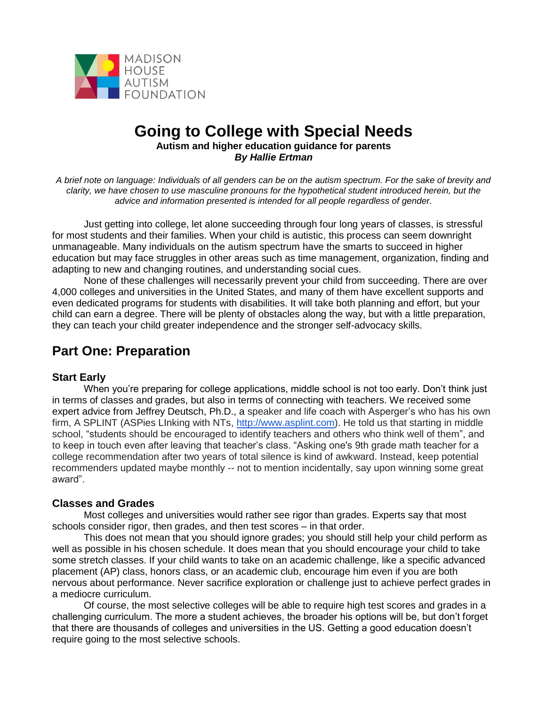

# **Going to College with Special Needs Autism and higher education guidance for parents**  *By Hallie Ertman*

*A brief note on language: Individuals of all genders can be on the autism spectrum. For the sake of brevity and clarity, we have chosen to use masculine pronouns for the hypothetical student introduced herein, but the advice and information presented is intended for all people regardless of gender.*

Just getting into college, let alone succeeding through four long years of classes, is stressful for most students and their families. When your child is autistic, this process can seem downright unmanageable. Many individuals on the autism spectrum have the smarts to succeed in higher education but may face struggles in other areas such as time management, organization, finding and adapting to new and changing routines, and understanding social cues.

None of these challenges will necessarily prevent your child from succeeding. There are over 4,000 colleges and universities in the United States, and many of them have excellent supports and even dedicated programs for students with disabilities. It will take both planning and effort, but your child can earn a degree. There will be plenty of obstacles along the way, but with a little preparation, they can teach your child greater independence and the stronger self-advocacy skills.

# **Part One: Preparation**

# **Start Early**

When you're preparing for college applications, middle school is not too early. Don't think just in terms of classes and grades, but also in terms of connecting with teachers. We received some expert advice from Jeffrey Deutsch, Ph.D., a speaker and life coach with Asperger's who has his own firm, A SPLINT (ASPies LInking with NTs, [http://www.asplint.com\)](http://www.asplint.com/). He told us that starting in middle school, "students should be encouraged to identify teachers and others who think well of them", and to keep in touch even after leaving that teacher's class. "Asking one's 9th grade math teacher for a college recommendation after two years of total silence is kind of awkward. Instead, keep potential recommenders updated maybe monthly -- not to mention incidentally, say upon winning some great award".

# **Classes and Grades**

Most colleges and universities would rather see rigor than grades. Experts say that most schools consider rigor, then grades, and then test scores – in that order.

This does not mean that you should ignore grades; you should still help your child perform as well as possible in his chosen schedule. It does mean that you should encourage your child to take some stretch classes. If your child wants to take on an academic challenge, like a specific advanced placement (AP) class, honors class, or an academic club, encourage him even if you are both nervous about performance. Never sacrifice exploration or challenge just to achieve perfect grades in a mediocre curriculum.

Of course, the most selective colleges will be able to require high test scores and grades in a challenging curriculum. The more a student achieves, the broader his options will be, but don't forget that there are thousands of colleges and universities in the US. Getting a good education doesn't require going to the most selective schools.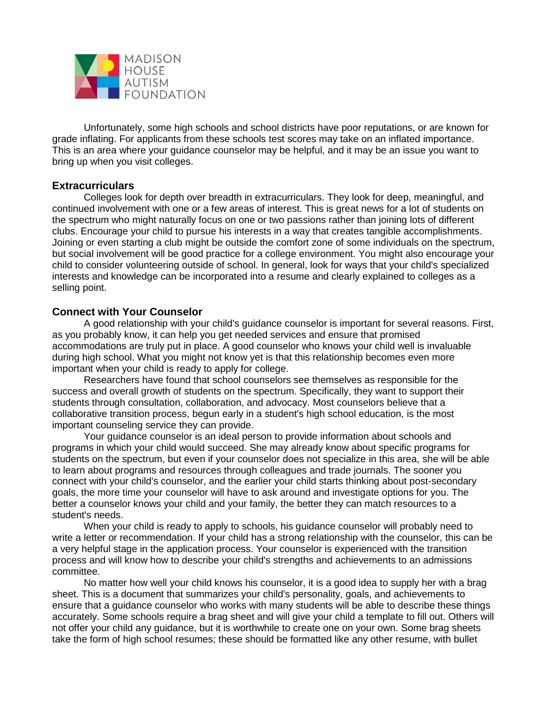

Unfortunately, some high schools and school districts have poor reputations, or are known for grade inflating. For applicants from these schools test scores may take on an inflated importance. This is an area where your guidance counselor may be helpful, and it may be an issue you want to bring up when you visit colleges.

# **Extracurriculars**

Colleges look for depth over breadth in extracurriculars. They look for deep, meaningful, and continued involvement with one or a few areas of interest. This is great news for a lot of students on the spectrum who might naturally focus on one or two passions rather than joining lots of different clubs. Encourage your child to pursue his interests in a way that creates tangible accomplishments. Joining or even starting a club might be outside the comfort zone of some individuals on the spectrum, but social involvement will be good practice for a college environment. You might also encourage your child to consider volunteering outside of school. In general, look for ways that your child's specialized interests and knowledge can be incorporated into a resume and clearly explained to colleges as a selling point.

# **Connect with Your Counselor**

A good relationship with your child's guidance counselor is important for several reasons. First, as you probably know, it can help you get needed services and ensure that promised accommodations are truly put in place. A good counselor who knows your child well is invaluable during high school. What you might not know yet is that this relationship becomes even more important when your child is ready to apply for college.

Researchers have found that school counselors see themselves as responsible for the success and overall growth of students on the spectrum. Specifically, they want to support their students through consultation, collaboration, and advocacy. Most counselors believe that a collaborative transition process, begun early in a student's high school education, is the most important counseling service they can provide.

Your guidance counselor is an ideal person to provide information about schools and programs in which your child would succeed. She may already know about specific programs for students on the spectrum, but even if your counselor does not specialize in this area, she will be able to learn about programs and resources through colleagues and trade journals. The sooner you connect with your child's counselor, and the earlier your child starts thinking about post-secondary goals, the more time your counselor will have to ask around and investigate options for you. The better a counselor knows your child and your family, the better they can match resources to a student's needs.

When your child is ready to apply to schools, his guidance counselor will probably need to write a letter or recommendation. If your child has a strong relationship with the counselor, this can be a very helpful stage in the application process. Your counselor is experienced with the transition process and will know how to describe your child's strengths and achievements to an admissions committee.

No matter how well your child knows his counselor, it is a good idea to supply her with a brag sheet. This is a document that summarizes your child's personality, goals, and achievements to ensure that a guidance counselor who works with many students will be able to describe these things accurately. Some schools require a brag sheet and will give your child a template to fill out. Others will not offer your child any guidance, but it is worthwhile to create one on your own. Some brag sheets take the form of high school resumes; these should be formatted like any other resume, with bullet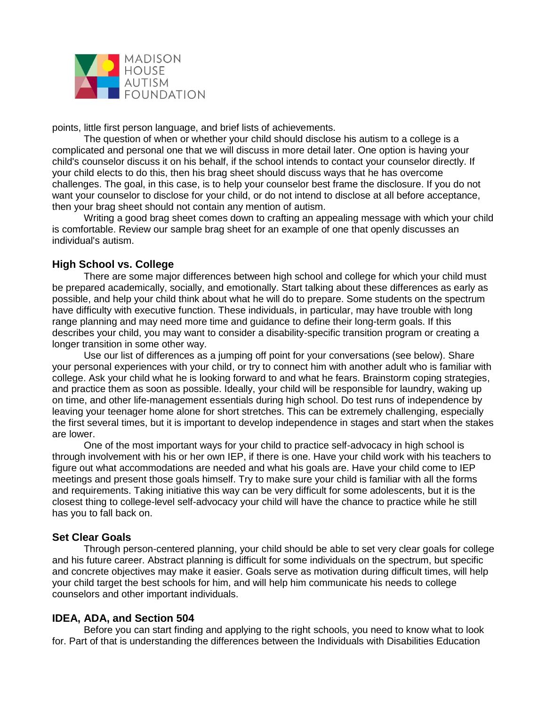

points, little first person language, and brief lists of achievements.

The question of when or whether your child should disclose his autism to a college is a complicated and personal one that we will discuss in more detail later. One option is having your child's counselor discuss it on his behalf, if the school intends to contact your counselor directly. If your child elects to do this, then his brag sheet should discuss ways that he has overcome challenges. The goal, in this case, is to help your counselor best frame the disclosure. If you do not want your counselor to disclose for your child, or do not intend to disclose at all before acceptance, then your brag sheet should not contain any mention of autism.

Writing a good brag sheet comes down to crafting an appealing message with which your child is comfortable. Review our sample brag sheet for an example of one that openly discusses an individual's autism.

# **High School vs. College**

There are some major differences between high school and college for which your child must be prepared academically, socially, and emotionally. Start talking about these differences as early as possible, and help your child think about what he will do to prepare. Some students on the spectrum have difficulty with executive function. These individuals, in particular, may have trouble with long range planning and may need more time and guidance to define their long-term goals. If this describes your child, you may want to consider a disability-specific transition program or creating a longer transition in some other way.

Use our list of differences as a jumping off point for your conversations (see below). Share your personal experiences with your child, or try to connect him with another adult who is familiar with college. Ask your child what he is looking forward to and what he fears. Brainstorm coping strategies, and practice them as soon as possible. Ideally, your child will be responsible for laundry, waking up on time, and other life-management essentials during high school. Do test runs of independence by leaving your teenager home alone for short stretches. This can be extremely challenging, especially the first several times, but it is important to develop independence in stages and start when the stakes are lower.

One of the most important ways for your child to practice self-advocacy in high school is through involvement with his or her own IEP, if there is one. Have your child work with his teachers to figure out what accommodations are needed and what his goals are. Have your child come to IEP meetings and present those goals himself. Try to make sure your child is familiar with all the forms and requirements. Taking initiative this way can be very difficult for some adolescents, but it is the closest thing to college-level self-advocacy your child will have the chance to practice while he still has you to fall back on.

#### **Set Clear Goals**

Through person-centered planning, your child should be able to set very clear goals for college and his future career. Abstract planning is difficult for some individuals on the spectrum, but specific and concrete objectives may make it easier. Goals serve as motivation during difficult times, will help your child target the best schools for him, and will help him communicate his needs to college counselors and other important individuals.

# **IDEA, ADA, and Section 504**

Before you can start finding and applying to the right schools, you need to know what to look for. Part of that is understanding the differences between the Individuals with Disabilities Education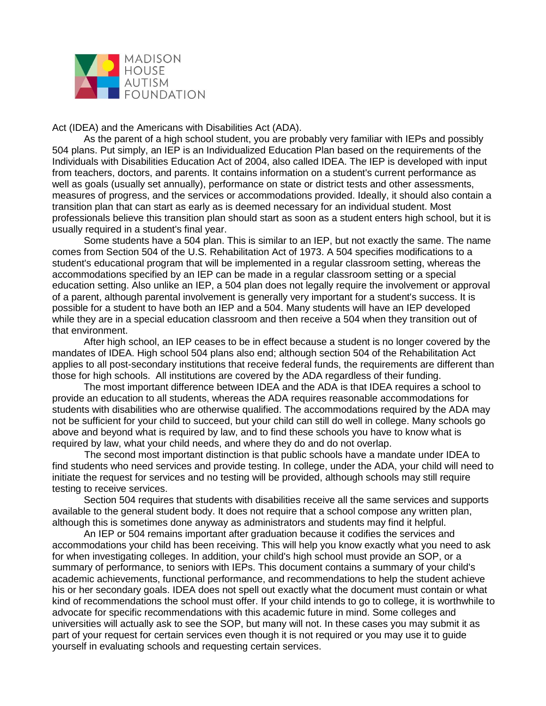

Act (IDEA) and the Americans with Disabilities Act (ADA).

As the parent of a high school student, you are probably very familiar with IEPs and possibly 504 plans. Put simply, an IEP is an Individualized Education Plan based on the requirements of the Individuals with Disabilities Education Act of 2004, also called IDEA. The IEP is developed with input from teachers, doctors, and parents. It contains information on a student's current performance as well as goals (usually set annually), performance on state or district tests and other assessments, measures of progress, and the services or accommodations provided. Ideally, it should also contain a transition plan that can start as early as is deemed necessary for an individual student. Most professionals believe this transition plan should start as soon as a student enters high school, but it is usually required in a student's final year.

Some students have a 504 plan. This is similar to an IEP, but not exactly the same. The name comes from Section 504 of the U.S. Rehabilitation Act of 1973. A 504 specifies modifications to a student's educational program that will be implemented in a regular classroom setting, whereas the accommodations specified by an IEP can be made in a regular classroom setting or a special education setting. Also unlike an IEP, a 504 plan does not legally require the involvement or approval of a parent, although parental involvement is generally very important for a student's success. It is possible for a student to have both an IEP and a 504. Many students will have an IEP developed while they are in a special education classroom and then receive a 504 when they transition out of that environment.

After high school, an IEP ceases to be in effect because a student is no longer covered by the mandates of IDEA. High school 504 plans also end; although section 504 of the Rehabilitation Act applies to all post-secondary institutions that receive federal funds, the requirements are different than those for high schools. All institutions are covered by the ADA regardless of their funding.

The most important difference between IDEA and the ADA is that IDEA requires a school to provide an education to all students, whereas the ADA requires reasonable accommodations for students with disabilities who are otherwise qualified. The accommodations required by the ADA may not be sufficient for your child to succeed, but your child can still do well in college. Many schools go above and beyond what is required by law, and to find these schools you have to know what is required by law, what your child needs, and where they do and do not overlap.

The second most important distinction is that public schools have a mandate under IDEA to find students who need services and provide testing. In college, under the ADA, your child will need to initiate the request for services and no testing will be provided, although schools may still require testing to receive services.

Section 504 requires that students with disabilities receive all the same services and supports available to the general student body. It does not require that a school compose any written plan, although this is sometimes done anyway as administrators and students may find it helpful.

An IEP or 504 remains important after graduation because it codifies the services and accommodations your child has been receiving. This will help you know exactly what you need to ask for when investigating colleges. In addition, your child's high school must provide an SOP, or a summary of performance, to seniors with IEPs. This document contains a summary of your child's academic achievements, functional performance, and recommendations to help the student achieve his or her secondary goals. IDEA does not spell out exactly what the document must contain or what kind of recommendations the school must offer. If your child intends to go to college, it is worthwhile to advocate for specific recommendations with this academic future in mind. Some colleges and universities will actually ask to see the SOP, but many will not. In these cases you may submit it as part of your request for certain services even though it is not required or you may use it to guide yourself in evaluating schools and requesting certain services.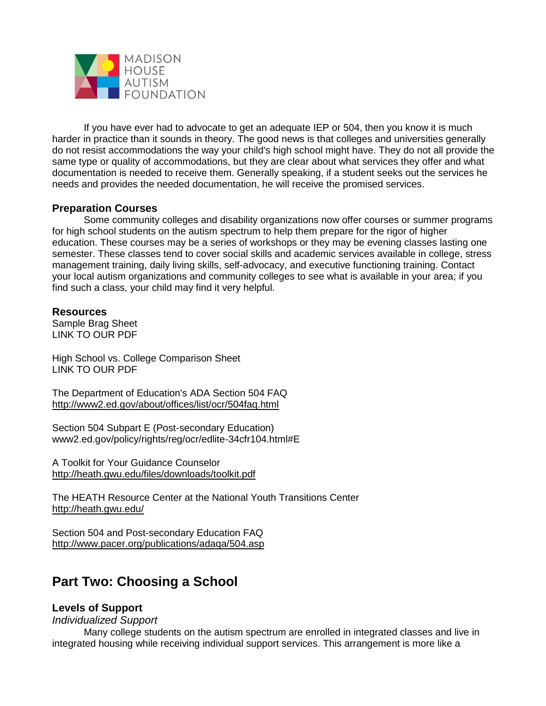

If you have ever had to advocate to get an adequate IEP or 504, then you know it is much harder in practice than it sounds in theory. The good news is that colleges and universities generally do not resist accommodations the way your child's high school might have. They do not all provide the same type or quality of accommodations, but they are clear about what services they offer and what documentation is needed to receive them. Generally speaking, if a student seeks out the services he needs and provides the needed documentation, he will receive the promised services.

# **Preparation Courses**

Some community colleges and disability organizations now offer courses or summer programs for high school students on the autism spectrum to help them prepare for the rigor of higher education. These courses may be a series of workshops or they may be evening classes lasting one semester. These classes tend to cover social skills and academic services available in college, stress management training, daily living skills, self-advocacy, and executive functioning training. Contact your local autism organizations and community colleges to see what is available in your area; if you find such a class, your child may find it very helpful.

# **Resources**

Sample Brag Sheet LINK TO OUR PDF

High School vs. College Comparison Sheet LINK TO OUR PDF

The Department of Education's ADA Section 504 FAQ <http://www2.ed.gov/about/offices/list/ocr/504faq.html>

Section 504 Subpart E (Post-secondary Education) www2.ed.gov/policy/rights/reg/ocr/edlite-34cfr104.html#E

A Toolkit for Your Guidance Counselor <http://heath.gwu.edu/files/downloads/toolkit.pdf>

The HEATH Resource Center at the National Youth Transitions Center <http://heath.gwu.edu/>

Section 504 and Post-secondary Education FAQ <http://www.pacer.org/publications/adaqa/504.asp>

# **Part Two: Choosing a School**

# **Levels of Support**

*Individualized Support*

Many college students on the autism spectrum are enrolled in integrated classes and live in integrated housing while receiving individual support services. This arrangement is more like a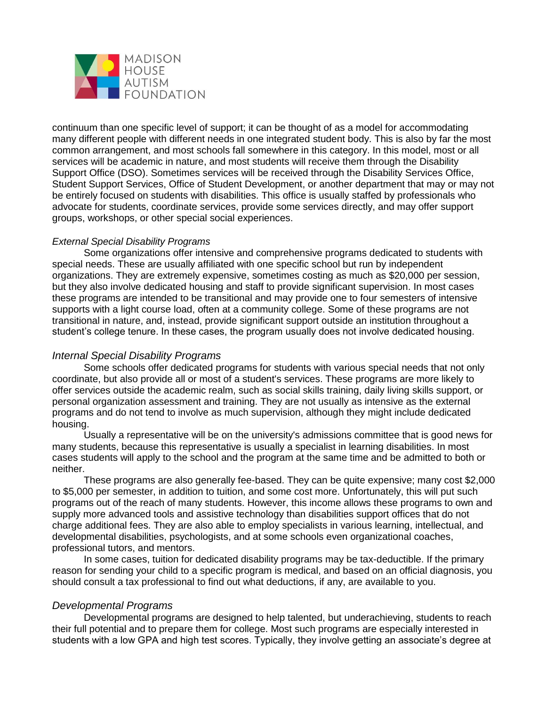

continuum than one specific level of support; it can be thought of as a model for accommodating many different people with different needs in one integrated student body. This is also by far the most common arrangement, and most schools fall somewhere in this category. In this model, most or all services will be academic in nature, and most students will receive them through the Disability Support Office (DSO). Sometimes services will be received through the Disability Services Office, Student Support Services, Office of Student Development, or another department that may or may not be entirely focused on students with disabilities. This office is usually staffed by professionals who advocate for students, coordinate services, provide some services directly, and may offer support groups, workshops, or other special social experiences.

#### *External Special Disability Programs*

Some organizations offer intensive and comprehensive programs dedicated to students with special needs. These are usually affiliated with one specific school but run by independent organizations. They are extremely expensive, sometimes costing as much as \$20,000 per session, but they also involve dedicated housing and staff to provide significant supervision. In most cases these programs are intended to be transitional and may provide one to four semesters of intensive supports with a light course load, often at a community college. Some of these programs are not transitional in nature, and, instead, provide significant support outside an institution throughout a student's college tenure. In these cases, the program usually does not involve dedicated housing.

# *Internal Special Disability Programs*

Some schools offer dedicated programs for students with various special needs that not only coordinate, but also provide all or most of a student's services. These programs are more likely to offer services outside the academic realm, such as social skills training, daily living skills support, or personal organization assessment and training. They are not usually as intensive as the external programs and do not tend to involve as much supervision, although they might include dedicated housing.

Usually a representative will be on the university's admissions committee that is good news for many students, because this representative is usually a specialist in learning disabilities. In most cases students will apply to the school and the program at the same time and be admitted to both or neither.

These programs are also generally fee-based. They can be quite expensive; many cost \$2,000 to \$5,000 per semester, in addition to tuition, and some cost more. Unfortunately, this will put such programs out of the reach of many students. However, this income allows these programs to own and supply more advanced tools and assistive technology than disabilities support offices that do not charge additional fees. They are also able to employ specialists in various learning, intellectual, and developmental disabilities, psychologists, and at some schools even organizational coaches, professional tutors, and mentors.

In some cases, tuition for dedicated disability programs may be tax-deductible. If the primary reason for sending your child to a specific program is medical, and based on an official diagnosis, you should consult a tax professional to find out what deductions, if any, are available to you.

# *Developmental Programs*

Developmental programs are designed to help talented, but underachieving, students to reach their full potential and to prepare them for college. Most such programs are especially interested in students with a low GPA and high test scores. Typically, they involve getting an associate's degree at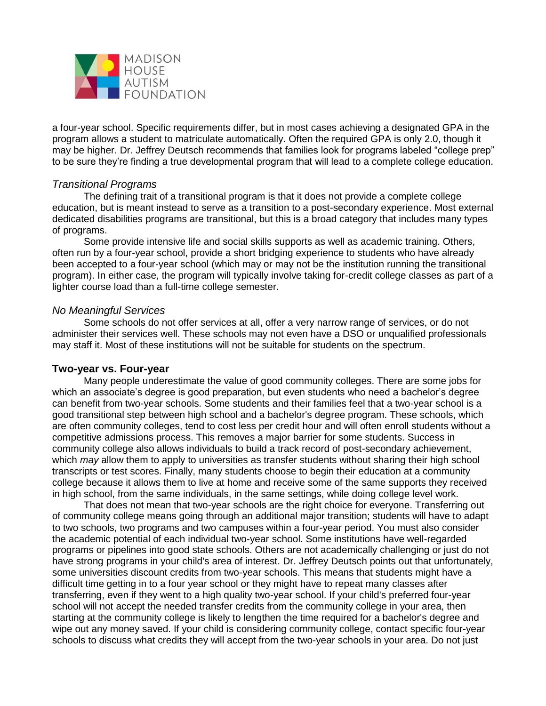

a four-year school. Specific requirements differ, but in most cases achieving a designated GPA in the program allows a student to matriculate automatically. Often the required GPA is only 2.0, though it may be higher. Dr. Jeffrey Deutsch recommends that families look for programs labeled "college prep" to be sure they're finding a true developmental program that will lead to a complete college education.

# *Transitional Programs*

The defining trait of a transitional program is that it does not provide a complete college education, but is meant instead to serve as a transition to a post-secondary experience. Most external dedicated disabilities programs are transitional, but this is a broad category that includes many types of programs.

Some provide intensive life and social skills supports as well as academic training. Others, often run by a four-year school, provide a short bridging experience to students who have already been accepted to a four-year school (which may or may not be the institution running the transitional program). In either case, the program will typically involve taking for-credit college classes as part of a lighter course load than a full-time college semester.

#### *No Meaningful Services*

Some schools do not offer services at all, offer a very narrow range of services, or do not administer their services well. These schools may not even have a DSO or unqualified professionals may staff it. Most of these institutions will not be suitable for students on the spectrum.

#### **Two-year vs. Four-year**

Many people underestimate the value of good community colleges. There are some jobs for which an associate's degree is good preparation, but even students who need a bachelor's degree can benefit from two-year schools. Some students and their families feel that a two-year school is a good transitional step between high school and a bachelor's degree program. These schools, which are often community colleges, tend to cost less per credit hour and will often enroll students without a competitive admissions process. This removes a major barrier for some students. Success in community college also allows individuals to build a track record of post-secondary achievement, which *may* allow them to apply to universities as transfer students without sharing their high school transcripts or test scores. Finally, many students choose to begin their education at a community college because it allows them to live at home and receive some of the same supports they received in high school, from the same individuals, in the same settings, while doing college level work.

That does not mean that two-year schools are the right choice for everyone. Transferring out of community college means going through an additional major transition; students will have to adapt to two schools, two programs and two campuses within a four-year period. You must also consider the academic potential of each individual two-year school. Some institutions have well-regarded programs or pipelines into good state schools. Others are not academically challenging or just do not have strong programs in your child's area of interest. Dr. Jeffrey Deutsch points out that unfortunately, some universities discount credits from two-year schools. This means that students might have a difficult time getting in to a four year school or they might have to repeat many classes after transferring, even if they went to a high quality two-year school. If your child's preferred four-year school will not accept the needed transfer credits from the community college in your area, then starting at the community college is likely to lengthen the time required for a bachelor's degree and wipe out any money saved. If your child is considering community college, contact specific four-year schools to discuss what credits they will accept from the two-year schools in your area. Do not just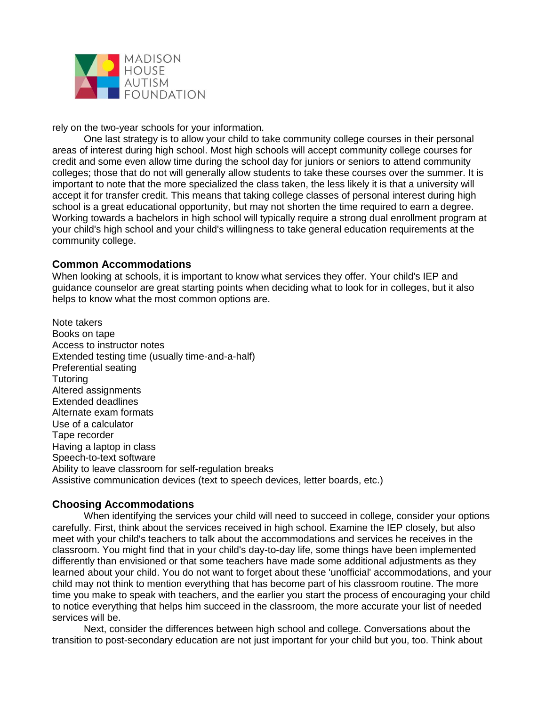

rely on the two-year schools for your information.

One last strategy is to allow your child to take community college courses in their personal areas of interest during high school. Most high schools will accept community college courses for credit and some even allow time during the school day for juniors or seniors to attend community colleges; those that do not will generally allow students to take these courses over the summer. It is important to note that the more specialized the class taken, the less likely it is that a university will accept it for transfer credit. This means that taking college classes of personal interest during high school is a great educational opportunity, but may not shorten the time required to earn a degree. Working towards a bachelors in high school will typically require a strong dual enrollment program at your child's high school and your child's willingness to take general education requirements at the community college.

#### **Common Accommodations**

When looking at schools, it is important to know what services they offer. Your child's IEP and guidance counselor are great starting points when deciding what to look for in colleges, but it also helps to know what the most common options are.

Note takers Books on tape Access to instructor notes Extended testing time (usually time-and-a-half) Preferential seating **Tutoring** Altered assignments Extended deadlines Alternate exam formats Use of a calculator Tape recorder Having a laptop in class Speech-to-text software Ability to leave classroom for self-regulation breaks Assistive communication devices (text to speech devices, letter boards, etc.)

#### **Choosing Accommodations**

When identifying the services your child will need to succeed in college, consider your options carefully. First, think about the services received in high school. Examine the IEP closely, but also meet with your child's teachers to talk about the accommodations and services he receives in the classroom. You might find that in your child's day-to-day life, some things have been implemented differently than envisioned or that some teachers have made some additional adjustments as they learned about your child. You do not want to forget about these 'unofficial' accommodations, and your child may not think to mention everything that has become part of his classroom routine. The more time you make to speak with teachers, and the earlier you start the process of encouraging your child to notice everything that helps him succeed in the classroom, the more accurate your list of needed services will be.

Next, consider the differences between high school and college. Conversations about the transition to post-secondary education are not just important for your child but you, too. Think about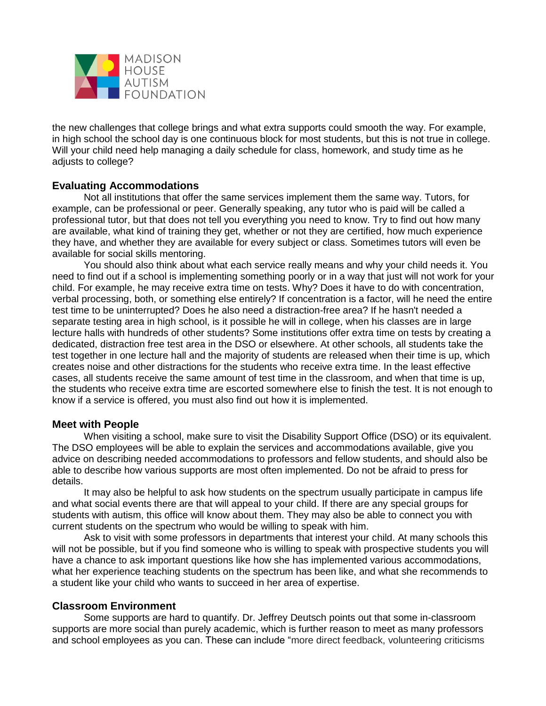

the new challenges that college brings and what extra supports could smooth the way. For example, in high school the school day is one continuous block for most students, but this is not true in college. Will your child need help managing a daily schedule for class, homework, and study time as he adjusts to college?

# **Evaluating Accommodations**

Not all institutions that offer the same services implement them the same way. Tutors, for example, can be professional or peer. Generally speaking, any tutor who is paid will be called a professional tutor, but that does not tell you everything you need to know. Try to find out how many are available, what kind of training they get, whether or not they are certified, how much experience they have, and whether they are available for every subject or class. Sometimes tutors will even be available for social skills mentoring.

You should also think about what each service really means and why your child needs it. You need to find out if a school is implementing something poorly or in a way that just will not work for your child. For example, he may receive extra time on tests. Why? Does it have to do with concentration, verbal processing, both, or something else entirely? If concentration is a factor, will he need the entire test time to be uninterrupted? Does he also need a distraction-free area? If he hasn't needed a separate testing area in high school, is it possible he will in college, when his classes are in large lecture halls with hundreds of other students? Some institutions offer extra time on tests by creating a dedicated, distraction free test area in the DSO or elsewhere. At other schools, all students take the test together in one lecture hall and the majority of students are released when their time is up, which creates noise and other distractions for the students who receive extra time. In the least effective cases, all students receive the same amount of test time in the classroom, and when that time is up, the students who receive extra time are escorted somewhere else to finish the test. It is not enough to know if a service is offered, you must also find out how it is implemented.

# **Meet with People**

When visiting a school, make sure to visit the Disability Support Office (DSO) or its equivalent. The DSO employees will be able to explain the services and accommodations available, give you advice on describing needed accommodations to professors and fellow students, and should also be able to describe how various supports are most often implemented. Do not be afraid to press for details.

It may also be helpful to ask how students on the spectrum usually participate in campus life and what social events there are that will appeal to your child. If there are any special groups for students with autism, this office will know about them. They may also be able to connect you with current students on the spectrum who would be willing to speak with him.

Ask to visit with some professors in departments that interest your child. At many schools this will not be possible, but if you find someone who is willing to speak with prospective students you will have a chance to ask important questions like how she has implemented various accommodations, what her experience teaching students on the spectrum has been like, and what she recommends to a student like your child who wants to succeed in her area of expertise.

#### **Classroom Environment**

Some supports are hard to quantify. Dr. Jeffrey Deutsch points out that some in-classroom supports are more social than purely academic, which is further reason to meet as many professors and school employees as you can. These can include "more direct feedback, volunteering criticisms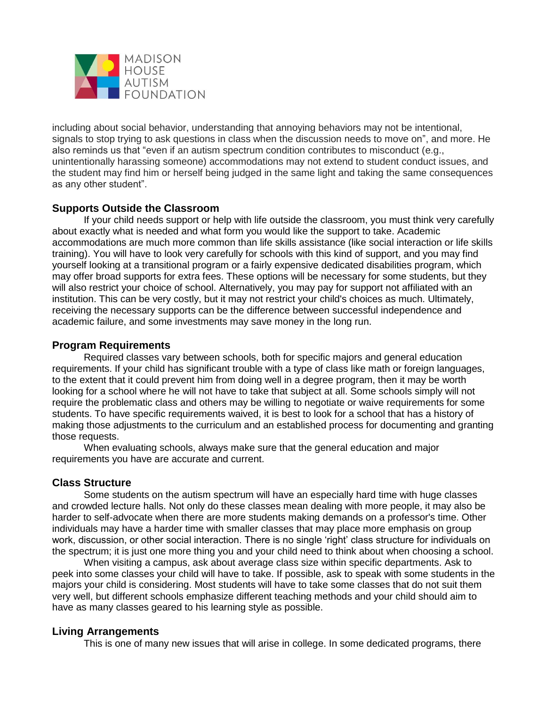

including about social behavior, understanding that annoying behaviors may not be intentional, signals to stop trying to ask questions in class when the discussion needs to move on", and more. He also reminds us that "even if an autism spectrum condition contributes to misconduct (e.g., unintentionally harassing someone) accommodations may not extend to student conduct issues, and the student may find him or herself being judged in the same light and taking the same consequences as any other student".

# **Supports Outside the Classroom**

If your child needs support or help with life outside the classroom, you must think very carefully about exactly what is needed and what form you would like the support to take. Academic accommodations are much more common than life skills assistance (like social interaction or life skills training). You will have to look very carefully for schools with this kind of support, and you may find yourself looking at a transitional program or a fairly expensive dedicated disabilities program, which may offer broad supports for extra fees. These options will be necessary for some students, but they will also restrict your choice of school. Alternatively, you may pay for support not affiliated with an institution. This can be very costly, but it may not restrict your child's choices as much. Ultimately, receiving the necessary supports can be the difference between successful independence and academic failure, and some investments may save money in the long run.

# **Program Requirements**

Required classes vary between schools, both for specific majors and general education requirements. If your child has significant trouble with a type of class like math or foreign languages, to the extent that it could prevent him from doing well in a degree program, then it may be worth looking for a school where he will not have to take that subject at all. Some schools simply will not require the problematic class and others may be willing to negotiate or waive requirements for some students. To have specific requirements waived, it is best to look for a school that has a history of making those adjustments to the curriculum and an established process for documenting and granting those requests.

When evaluating schools, always make sure that the general education and major requirements you have are accurate and current.

# **Class Structure**

Some students on the autism spectrum will have an especially hard time with huge classes and crowded lecture halls. Not only do these classes mean dealing with more people, it may also be harder to self-advocate when there are more students making demands on a professor's time. Other individuals may have a harder time with smaller classes that may place more emphasis on group work, discussion, or other social interaction. There is no single 'right' class structure for individuals on the spectrum; it is just one more thing you and your child need to think about when choosing a school.

When visiting a campus, ask about average class size within specific departments. Ask to peek into some classes your child will have to take. If possible, ask to speak with some students in the majors your child is considering. Most students will have to take some classes that do not suit them very well, but different schools emphasize different teaching methods and your child should aim to have as many classes geared to his learning style as possible.

# **Living Arrangements**

This is one of many new issues that will arise in college. In some dedicated programs, there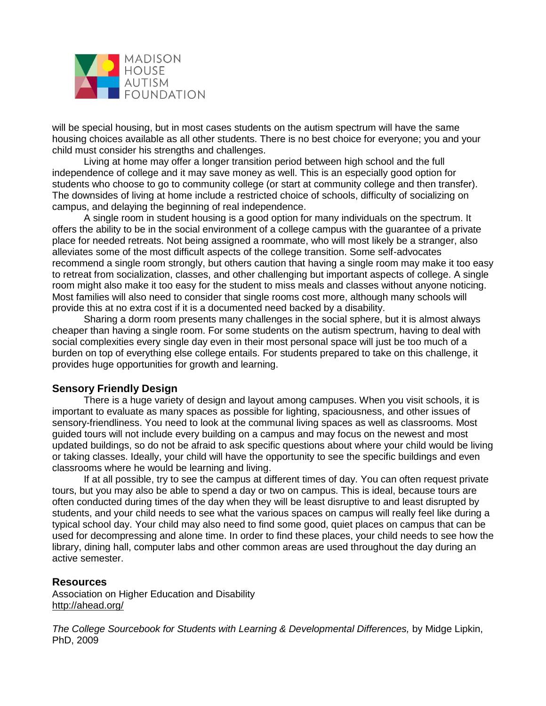

will be special housing, but in most cases students on the autism spectrum will have the same housing choices available as all other students. There is no best choice for everyone; you and your child must consider his strengths and challenges.

Living at home may offer a longer transition period between high school and the full independence of college and it may save money as well. This is an especially good option for students who choose to go to community college (or start at community college and then transfer). The downsides of living at home include a restricted choice of schools, difficulty of socializing on campus, and delaying the beginning of real independence.

A single room in student housing is a good option for many individuals on the spectrum. It offers the ability to be in the social environment of a college campus with the guarantee of a private place for needed retreats. Not being assigned a roommate, who will most likely be a stranger, also alleviates some of the most difficult aspects of the college transition. Some self-advocates recommend a single room strongly, but others caution that having a single room may make it too easy to retreat from socialization, classes, and other challenging but important aspects of college. A single room might also make it too easy for the student to miss meals and classes without anyone noticing. Most families will also need to consider that single rooms cost more, although many schools will provide this at no extra cost if it is a documented need backed by a disability.

Sharing a dorm room presents many challenges in the social sphere, but it is almost always cheaper than having a single room. For some students on the autism spectrum, having to deal with social complexities every single day even in their most personal space will just be too much of a burden on top of everything else college entails. For students prepared to take on this challenge, it provides huge opportunities for growth and learning.

# **Sensory Friendly Design**

There is a huge variety of design and layout among campuses. When you visit schools, it is important to evaluate as many spaces as possible for lighting, spaciousness, and other issues of sensory-friendliness. You need to look at the communal living spaces as well as classrooms. Most guided tours will not include every building on a campus and may focus on the newest and most updated buildings, so do not be afraid to ask specific questions about where your child would be living or taking classes. Ideally, your child will have the opportunity to see the specific buildings and even classrooms where he would be learning and living.

If at all possible, try to see the campus at different times of day. You can often request private tours, but you may also be able to spend a day or two on campus. This is ideal, because tours are often conducted during times of the day when they will be least disruptive to and least disrupted by students, and your child needs to see what the various spaces on campus will really feel like during a typical school day. Your child may also need to find some good, quiet places on campus that can be used for decompressing and alone time. In order to find these places, your child needs to see how the library, dining hall, computer labs and other common areas are used throughout the day during an active semester.

#### **Resources**

Association on Higher Education and Disability <http://ahead.org/>

*The College Sourcebook for Students with Learning & Developmental Differences,* by Midge Lipkin, PhD, 2009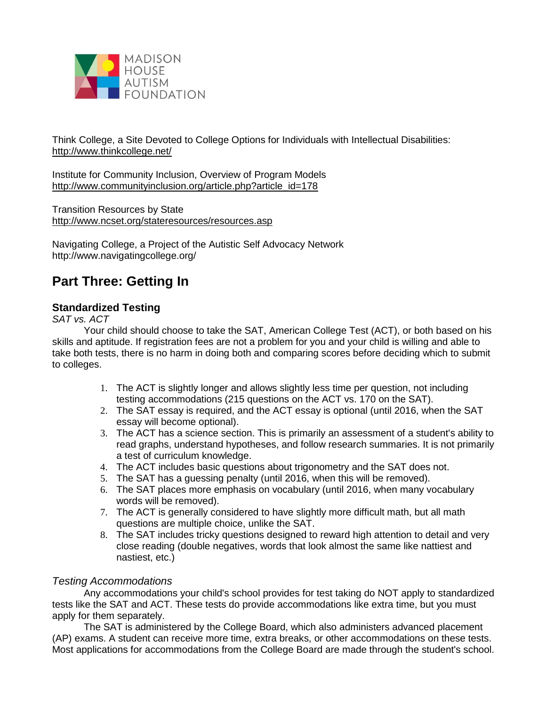

Think College, a Site Devoted to College Options for Individuals with Intellectual Disabilities: <http://www.thinkcollege.net/>

Institute for Community Inclusion, Overview of Program Models [http://www.communityinclusion.org/article.php?article\\_id=178](http://www.communityinclusion.org/article.php?article_id=178)

Transition Resources by State <http://www.ncset.org/stateresources/resources.asp>

Navigating College, a Project of the Autistic Self Advocacy Network http://www.navigatingcollege.org/

# **Part Three: Getting In**

# **Standardized Testing**

*SAT vs. ACT*

Your child should choose to take the SAT, American College Test (ACT), or both based on his skills and aptitude. If registration fees are not a problem for you and your child is willing and able to take both tests, there is no harm in doing both and comparing scores before deciding which to submit to colleges.

- 1. The ACT is slightly longer and allows slightly less time per question, not including testing accommodations (215 questions on the ACT vs. 170 on the SAT).
- 2. The SAT essay is required, and the ACT essay is optional (until 2016, when the SAT essay will become optional).
- 3. The ACT has a science section. This is primarily an assessment of a student's ability to read graphs, understand hypotheses, and follow research summaries. It is not primarily a test of curriculum knowledge.
- 4. The ACT includes basic questions about trigonometry and the SAT does not.
- 5. The SAT has a guessing penalty (until 2016, when this will be removed).
- 6. The SAT places more emphasis on vocabulary (until 2016, when many vocabulary words will be removed).
- 7. The ACT is generally considered to have slightly more difficult math, but all math questions are multiple choice, unlike the SAT.
- 8. The SAT includes tricky questions designed to reward high attention to detail and very close reading (double negatives, words that look almost the same like nattiest and nastiest, etc.)

# *Testing Accommodations*

Any accommodations your child's school provides for test taking do NOT apply to standardized tests like the SAT and ACT. These tests do provide accommodations like extra time, but you must apply for them separately.

The SAT is administered by the College Board, which also administers advanced placement (AP) exams. A student can receive more time, extra breaks, or other accommodations on these tests. Most applications for accommodations from the College Board are made through the student's school.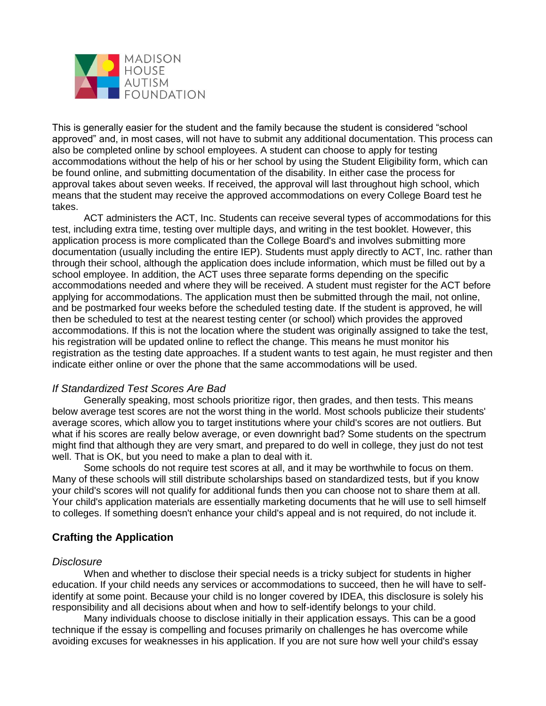

This is generally easier for the student and the family because the student is considered "school approved" and, in most cases, will not have to submit any additional documentation. This process can also be completed online by school employees. A student can choose to apply for testing accommodations without the help of his or her school by using the Student Eligibility form, which can be found online, and submitting documentation of the disability. In either case the process for approval takes about seven weeks. If received, the approval will last throughout high school, which means that the student may receive the approved accommodations on every College Board test he takes.

ACT administers the ACT, Inc. Students can receive several types of accommodations for this test, including extra time, testing over multiple days, and writing in the test booklet. However, this application process is more complicated than the College Board's and involves submitting more documentation (usually including the entire IEP). Students must apply directly to ACT, Inc. rather than through their school, although the application does include information, which must be filled out by a school employee. In addition, the ACT uses three separate forms depending on the specific accommodations needed and where they will be received. A student must register for the ACT before applying for accommodations. The application must then be submitted through the mail, not online, and be postmarked four weeks before the scheduled testing date. If the student is approved, he will then be scheduled to test at the nearest testing center (or school) which provides the approved accommodations. If this is not the location where the student was originally assigned to take the test, his registration will be updated online to reflect the change. This means he must monitor his registration as the testing date approaches. If a student wants to test again, he must register and then indicate either online or over the phone that the same accommodations will be used.

# *If Standardized Test Scores Are Bad*

Generally speaking, most schools prioritize rigor, then grades, and then tests. This means below average test scores are not the worst thing in the world. Most schools publicize their students' average scores, which allow you to target institutions where your child's scores are not outliers. But what if his scores are really below average, or even downright bad? Some students on the spectrum might find that although they are very smart, and prepared to do well in college, they just do not test well. That is OK, but you need to make a plan to deal with it.

Some schools do not require test scores at all, and it may be worthwhile to focus on them. Many of these schools will still distribute scholarships based on standardized tests, but if you know your child's scores will not qualify for additional funds then you can choose not to share them at all. Your child's application materials are essentially marketing documents that he will use to sell himself to colleges. If something doesn't enhance your child's appeal and is not required, do not include it.

# **Crafting the Application**

#### *Disclosure*

When and whether to disclose their special needs is a tricky subject for students in higher education. If your child needs any services or accommodations to succeed, then he will have to selfidentify at some point. Because your child is no longer covered by IDEA, this disclosure is solely his responsibility and all decisions about when and how to self-identify belongs to your child.

Many individuals choose to disclose initially in their application essays. This can be a good technique if the essay is compelling and focuses primarily on challenges he has overcome while avoiding excuses for weaknesses in his application. If you are not sure how well your child's essay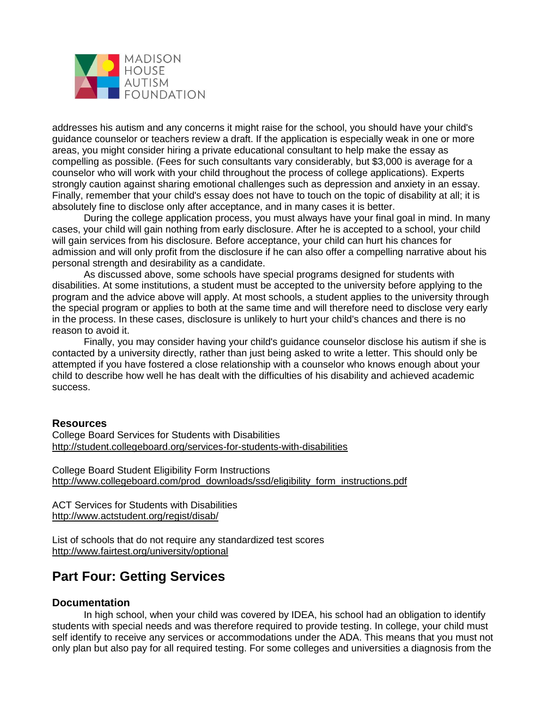

addresses his autism and any concerns it might raise for the school, you should have your child's guidance counselor or teachers review a draft. If the application is especially weak in one or more areas, you might consider hiring a private educational consultant to help make the essay as compelling as possible. (Fees for such consultants vary considerably, but \$3,000 is average for a counselor who will work with your child throughout the process of college applications). Experts strongly caution against sharing emotional challenges such as depression and anxiety in an essay. Finally, remember that your child's essay does not have to touch on the topic of disability at all; it is absolutely fine to disclose only after acceptance, and in many cases it is better.

During the college application process, you must always have your final goal in mind. In many cases, your child will gain nothing from early disclosure. After he is accepted to a school, your child will gain services from his disclosure. Before acceptance, your child can hurt his chances for admission and will only profit from the disclosure if he can also offer a compelling narrative about his personal strength and desirability as a candidate.

As discussed above, some schools have special programs designed for students with disabilities. At some institutions, a student must be accepted to the university before applying to the program and the advice above will apply. At most schools, a student applies to the university through the special program or applies to both at the same time and will therefore need to disclose very early in the process. In these cases, disclosure is unlikely to hurt your child's chances and there is no reason to avoid it.

Finally, you may consider having your child's guidance counselor disclose his autism if she is contacted by a university directly, rather than just being asked to write a letter. This should only be attempted if you have fostered a close relationship with a counselor who knows enough about your child to describe how well he has dealt with the difficulties of his disability and achieved academic success.

#### **Resources**

College Board Services for Students with Disabilities <http://student.collegeboard.org/services-for-students-with-disabilities>

College Board Student Eligibility Form Instructions [http://www.collegeboard.com/prod\\_downloads/ssd/eligibility\\_form\\_instructions.pdf](http://www.collegeboard.com/prod_downloads/ssd/eligibility_form_instructions.pdf)

ACT Services for Students with Disabilities <http://www.actstudent.org/regist/disab/>

List of schools that do not require any standardized test scores <http://www.fairtest.org/university/optional>

# **Part Four: Getting Services**

#### **Documentation**

In high school, when your child was covered by IDEA, his school had an obligation to identify students with special needs and was therefore required to provide testing. In college, your child must self identify to receive any services or accommodations under the ADA. This means that you must not only plan but also pay for all required testing. For some colleges and universities a diagnosis from the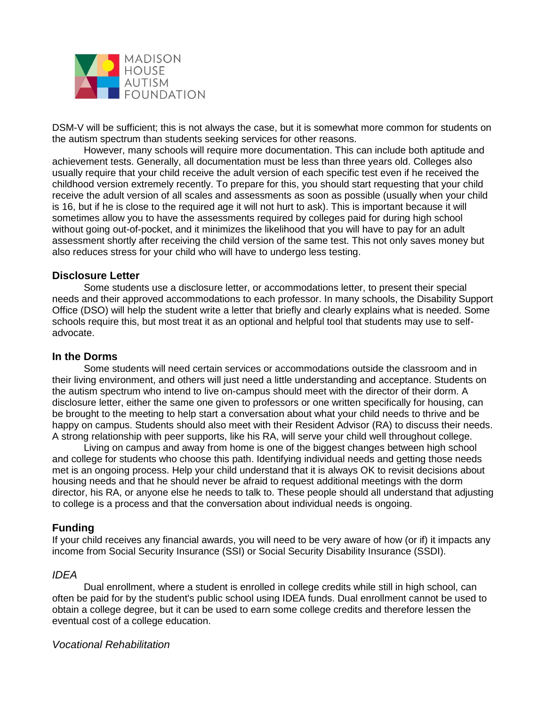

DSM-V will be sufficient; this is not always the case, but it is somewhat more common for students on the autism spectrum than students seeking services for other reasons.

However, many schools will require more documentation. This can include both aptitude and achievement tests. Generally, all documentation must be less than three years old. Colleges also usually require that your child receive the adult version of each specific test even if he received the childhood version extremely recently. To prepare for this, you should start requesting that your child receive the adult version of all scales and assessments as soon as possible (usually when your child is 16, but if he is close to the required age it will not hurt to ask). This is important because it will sometimes allow you to have the assessments required by colleges paid for during high school without going out-of-pocket, and it minimizes the likelihood that you will have to pay for an adult assessment shortly after receiving the child version of the same test. This not only saves money but also reduces stress for your child who will have to undergo less testing.

#### **Disclosure Letter**

Some students use a disclosure letter, or accommodations letter, to present their special needs and their approved accommodations to each professor. In many schools, the Disability Support Office (DSO) will help the student write a letter that briefly and clearly explains what is needed. Some schools require this, but most treat it as an optional and helpful tool that students may use to selfadvocate.

#### **In the Dorms**

Some students will need certain services or accommodations outside the classroom and in their living environment, and others will just need a little understanding and acceptance. Students on the autism spectrum who intend to live on-campus should meet with the director of their dorm. A disclosure letter, either the same one given to professors or one written specifically for housing, can be brought to the meeting to help start a conversation about what your child needs to thrive and be happy on campus. Students should also meet with their Resident Advisor (RA) to discuss their needs. A strong relationship with peer supports, like his RA, will serve your child well throughout college.

Living on campus and away from home is one of the biggest changes between high school and college for students who choose this path. Identifying individual needs and getting those needs met is an ongoing process. Help your child understand that it is always OK to revisit decisions about housing needs and that he should never be afraid to request additional meetings with the dorm director, his RA, or anyone else he needs to talk to. These people should all understand that adjusting to college is a process and that the conversation about individual needs is ongoing.

# **Funding**

If your child receives any financial awards, you will need to be very aware of how (or if) it impacts any income from Social Security Insurance (SSI) or Social Security Disability Insurance (SSDI).

#### *IDEA*

Dual enrollment, where a student is enrolled in college credits while still in high school, can often be paid for by the student's public school using IDEA funds. Dual enrollment cannot be used to obtain a college degree, but it can be used to earn some college credits and therefore lessen the eventual cost of a college education.

#### *Vocational Rehabilitation*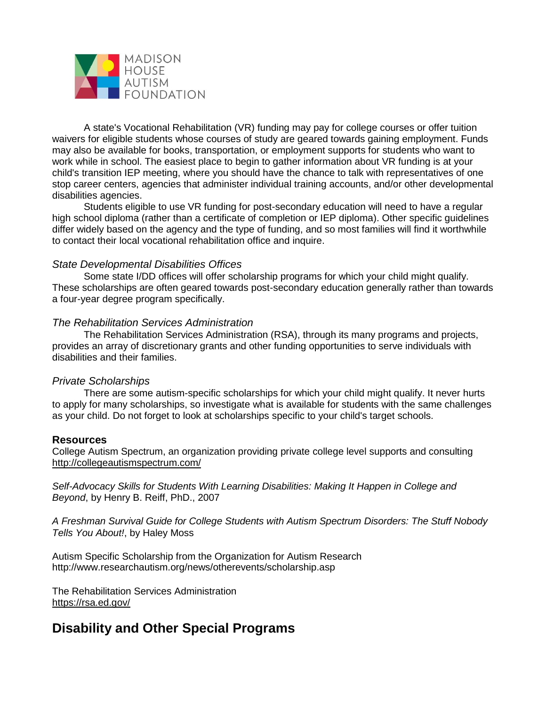

A state's Vocational Rehabilitation (VR) funding may pay for college courses or offer tuition waivers for eligible students whose courses of study are geared towards gaining employment. Funds may also be available for books, transportation, or employment supports for students who want to work while in school. The easiest place to begin to gather information about VR funding is at your child's transition IEP meeting, where you should have the chance to talk with representatives of one stop career centers, agencies that administer individual training accounts, and/or other developmental disabilities agencies.

Students eligible to use VR funding for post-secondary education will need to have a regular high school diploma (rather than a certificate of completion or IEP diploma). Other specific guidelines differ widely based on the agency and the type of funding, and so most families will find it worthwhile to contact their local vocational rehabilitation office and inquire.

#### *State Developmental Disabilities Offices*

Some state I/DD offices will offer scholarship programs for which your child might qualify. These scholarships are often geared towards post-secondary education generally rather than towards a four-year degree program specifically.

#### *The Rehabilitation Services Administration*

The Rehabilitation Services Administration (RSA), through its many programs and projects, provides an array of discretionary grants and other funding opportunities to serve individuals with disabilities and their families.

#### *Private Scholarships*

There are some autism-specific scholarships for which your child might qualify. It never hurts to apply for many scholarships, so investigate what is available for students with the same challenges as your child. Do not forget to look at scholarships specific to your child's target schools.

#### **Resources**

College Autism Spectrum, an organization providing private college level supports and consulting <http://collegeautismspectrum.com/>

*Self-Advocacy Skills for Students With Learning Disabilities: Making It Happen in College and Beyond*, by Henry B. Reiff, PhD., 2007

*A Freshman Survival Guide for College Students with Autism Spectrum Disorders: The Stuff Nobody Tells You About!*, by Haley Moss

Autism Specific Scholarship from the Organization for Autism Research http://www.researchautism.org/news/otherevents/scholarship.asp

The Rehabilitation Services Administration <https://rsa.ed.gov/>

# **Disability and Other Special Programs**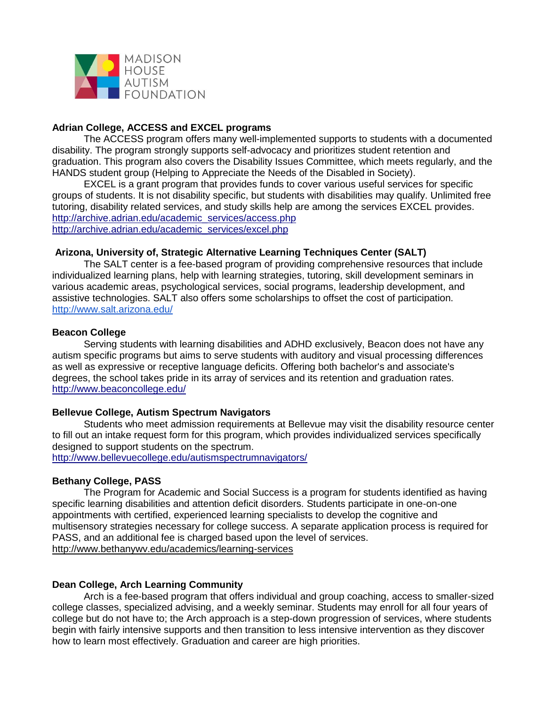

#### **Adrian College, ACCESS and EXCEL programs**

The ACCESS program offers many well-implemented supports to students with a documented disability. The program strongly supports self-advocacy and prioritizes student retention and graduation. This program also covers the Disability Issues Committee, which meets regularly, and the HANDS student group (Helping to Appreciate the Needs of the Disabled in Society).

EXCEL is a grant program that provides funds to cover various useful services for specific groups of students. It is not disability specific, but students with disabilities may qualify. Unlimited free tutoring, disability related services, and study skills help are among the services EXCEL provides. [http://archive.adrian.edu/academic\\_services/access.php](http://archive.adrian.edu/academic_services/access.php) [http://archive.adrian.edu/academic\\_services/excel.php](http://archive.adrian.edu/academic_services/excel.php)

#### **Arizona, University of, Strategic Alternative Learning Techniques Center (SALT)**

The SALT center is a fee-based program of providing comprehensive resources that include individualized learning plans, help with learning strategies, tutoring, skill development seminars in various academic areas, psychological services, social programs, leadership development, and assistive technologies. SALT also offers some scholarships to offset the cost of participation. <http://www.salt.arizona.edu/>

#### **Beacon College**

Serving students with learning disabilities and ADHD exclusively, Beacon does not have any autism specific programs but aims to serve students with auditory and visual processing differences as well as expressive or receptive language deficits. Offering both bachelor's and associate's degrees, the school takes pride in its array of services and its retention and graduation rates. <http://www.beaconcollege.edu/>

#### **Bellevue College, Autism Spectrum Navigators**

Students who meet admission requirements at Bellevue may visit the disability resource center to fill out an intake request form for this program, which provides individualized services specifically designed to support students on the spectrum.

<http://www.bellevuecollege.edu/autismspectrumnavigators/>

#### **Bethany College, PASS**

The Program for Academic and Social Success is a program for students identified as having specific learning disabilities and attention deficit disorders. Students participate in one-on-one appointments with certified, experienced learning specialists to develop the cognitive and multisensory strategies necessary for college success. A separate application process is required for PASS, and an additional fee is charged based upon the level of services. [http://www.bethanywv.edu/academics/learning-services](http://www.bethanywv.edu/academics/learning-services/)

#### **Dean College, Arch Learning Community**

Arch is a fee-based program that offers individual and group coaching, access to smaller-sized college classes, specialized advising, and a weekly seminar. Students may enroll for all four years of college but do not have to; the Arch approach is a step-down progression of services, where students begin with fairly intensive supports and then transition to less intensive intervention as they discover how to learn most effectively. Graduation and career are high priorities.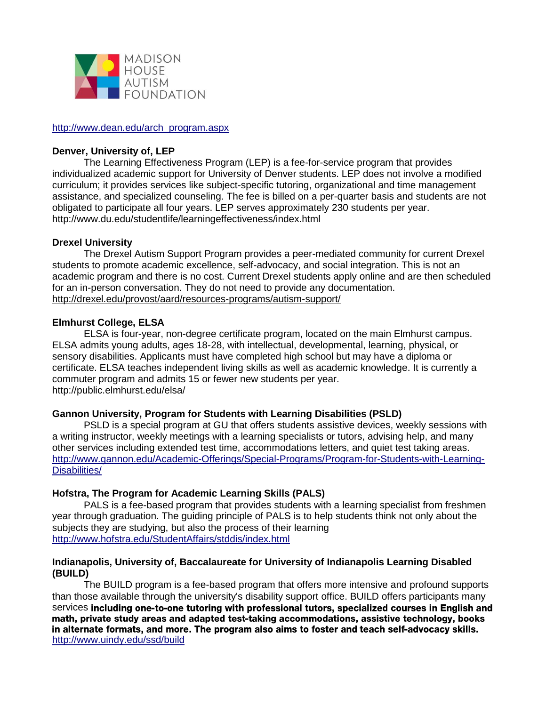

#### [http://www.dean.edu/arch\\_program.aspx](http://www.dean.edu/arch_program.aspx)

#### **Denver, University of, LEP**

The Learning Effectiveness Program (LEP) is a fee-for-service program that provides individualized academic support for University of Denver students. LEP does not involve a modified curriculum; it provides services like subject-specific tutoring, organizational and time management assistance, and specialized counseling. The fee is billed on a per-quarter basis and students are not obligated to participate all four years. LEP serves approximately 230 students per year. http://www.du.edu/studentlife/learningeffectiveness/index.html

# **Drexel University**

The Drexel Autism Support Program provides a peer-mediated community for current Drexel students to promote academic excellence, self-advocacy, and social integration. This is not an academic program and there is no cost. Current Drexel students apply online and are then scheduled for an in-person conversation. They do not need to provide any documentation. <http://drexel.edu/provost/aard/resources-programs/autism-support/>

#### **Elmhurst College, ELSA**

ELSA is four-year, non-degree certificate program, located on the main Elmhurst campus. ELSA admits young adults, ages 18-28, with intellectual, developmental, learning, physical, or sensory disabilities. Applicants must have completed high school but may have a diploma or certificate. ELSA teaches independent living skills as well as academic knowledge. It is currently a commuter program and admits 15 or fewer new students per year. http://public.elmhurst.edu/elsa/

# **Gannon University, Program for Students with Learning Disabilities (PSLD)**

PSLD is a special program at GU that offers students assistive devices, weekly sessions with a writing instructor, weekly meetings with a learning specialists or tutors, advising help, and many other services including extended test time, accommodations letters, and quiet test taking areas. [http://www.gannon.edu/Academic-Offerings/Special-Programs/Program-for-Students-with-Learning-](http://www.gannon.edu/Academic-Offerings/Special-Programs/Program-for-Students-with-Learning-Disabilities/)[Disabilities/](http://www.gannon.edu/Academic-Offerings/Special-Programs/Program-for-Students-with-Learning-Disabilities/)

# **Hofstra, The Program for Academic Learning Skills (PALS)**

PALS is a fee-based program that provides students with a learning specialist from freshmen year through graduation. The guiding principle of PALS is to help students think not only about the subjects they are studying, but also the process of their learning <http://www.hofstra.edu/StudentAffairs/stddis/index.html>

#### **Indianapolis, University of, Baccalaureate for University of Indianapolis Learning Disabled (BUILD)**

The BUILD program is a fee-based program that offers more intensive and profound supports than those available through the university's disability support office. BUILD offers participants many services including one-to-one tutoring with professional tutors, specialized courses in English and math, private study areas and adapted test-taking accommodations, assistive technology, books in alternate formats, and more. The program also aims to foster and teach self-advocacy skills. <http://www.uindy.edu/ssd/build>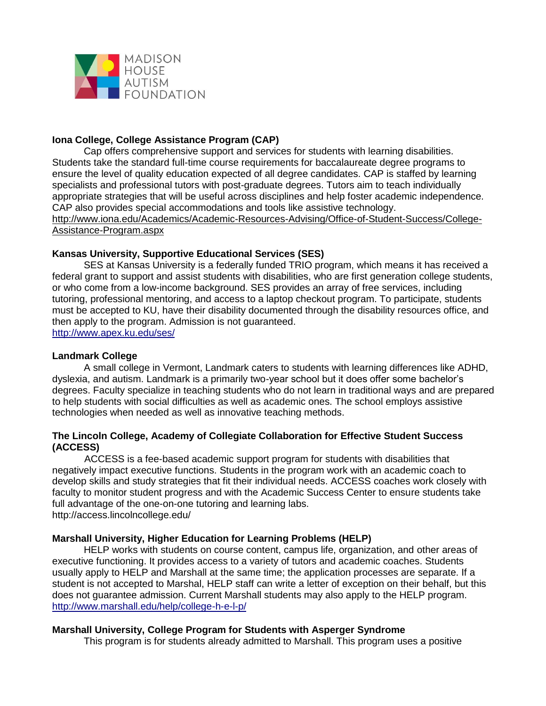

# **Iona College, College Assistance Program (CAP)**

Cap offers comprehensive support and services for students with learning disabilities. Students take the standard full-time course requirements for baccalaureate degree programs to ensure the level of quality education expected of all degree candidates. CAP is staffed by learning specialists and professional tutors with post-graduate degrees. Tutors aim to teach individually appropriate strategies that will be useful across disciplines and help foster academic independence. CAP also provides special accommodations and tools like assistive technology. [http://www.iona.edu/Academics/Academic-Resources-Advising/Office-of-Student-Success/College-](http://www.iona.edu/Academics/Academic-Resources-Advising/Office-of-Student-Success/College-Assistance-Program.aspx)

[Assistance-Program.aspx](http://www.iona.edu/Academics/Academic-Resources-Advising/Office-of-Student-Success/College-Assistance-Program.aspx)

#### **Kansas University, Supportive Educational Services (SES)**

SES at Kansas University is a federally funded TRIO program, which means it has received a federal grant to support and assist students with disabilities, who are first generation college students, or who come from a low-income background. SES provides an array of free services, including tutoring, professional mentoring, and access to a laptop checkout program. To participate, students must be accepted to KU, have their disability documented through the disability resources office, and then apply to the program. Admission is not guaranteed. <http://www.apex.ku.edu/ses/>

#### **Landmark College**

A small college in Vermont, Landmark caters to students with learning differences like ADHD, dyslexia, and autism. Landmark is a primarily two-year school but it does offer some bachelor's degrees. Faculty specialize in teaching students who do not learn in traditional ways and are prepared to help students with social difficulties as well as academic ones. The school employs assistive technologies when needed as well as innovative teaching methods.

#### **The Lincoln College, Academy of Collegiate Collaboration for Effective Student Success (ACCESS)**

ACCESS is a fee-based academic support program for students with disabilities that negatively impact executive functions. Students in the program work with an academic coach to develop skills and study strategies that fit their individual needs. ACCESS coaches work closely with faculty to monitor student progress and with the Academic Success Center to ensure students take full advantage of the one-on-one tutoring and learning labs. http://access.lincolncollege.edu/

#### **Marshall University, Higher Education for Learning Problems (HELP)**

HELP works with students on course content, campus life, organization, and other areas of executive functioning. It provides access to a variety of tutors and academic coaches. Students usually apply to HELP and Marshall at the same time; the application processes are separate. If a student is not accepted to Marshal, HELP staff can write a letter of exception on their behalf, but this does not guarantee admission. Current Marshall students may also apply to the HELP program. <http://www.marshall.edu/help/college-h-e-l-p/>

#### **Marshall University, College Program for Students with Asperger Syndrome**

This program is for students already admitted to Marshall. This program uses a positive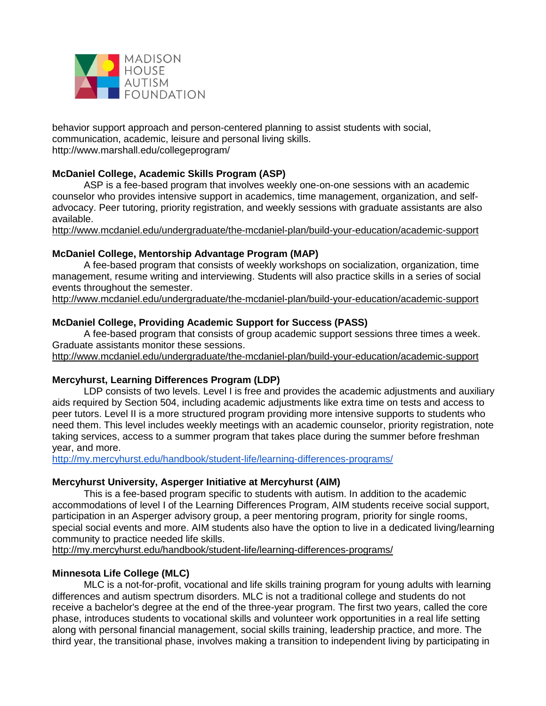

behavior support approach and person-centered planning to assist students with social, communication, academic, leisure and personal living skills. http://www.marshall.edu/collegeprogram/

# **McDaniel College, Academic Skills Program (ASP)**

ASP is a fee-based program that involves weekly one-on-one sessions with an academic counselor who provides intensive support in academics, time management, organization, and selfadvocacy. Peer tutoring, priority registration, and weekly sessions with graduate assistants are also available.

<http://www.mcdaniel.edu/undergraduate/the-mcdaniel-plan/build-your-education/academic-support>

#### **McDaniel College, Mentorship Advantage Program (MAP)**

A fee-based program that consists of weekly workshops on socialization, organization, time management, resume writing and interviewing. Students will also practice skills in a series of social events throughout the semester.

<http://www.mcdaniel.edu/undergraduate/the-mcdaniel-plan/build-your-education/academic-support>

#### **McDaniel College, Providing Academic Support for Success (PASS)**

A fee-based program that consists of group academic support sessions three times a week. Graduate assistants monitor these sessions.

<http://www.mcdaniel.edu/undergraduate/the-mcdaniel-plan/build-your-education/academic-support>

#### **Mercyhurst, Learning Differences Program (LDP)**

LDP consists of two levels. Level I is free and provides the academic adjustments and auxiliary aids required by Section 504, including academic adjustments like extra time on tests and access to peer tutors. Level II is a more structured program providing more intensive supports to students who need them. This level includes weekly meetings with an academic counselor, priority registration, note taking services, access to a summer program that takes place during the summer before freshman year, and more.

<http://my.mercyhurst.edu/handbook/student-life/learning-differences-programs/>

#### **Mercyhurst University, Asperger Initiative at Mercyhurst (AIM)**

This is a fee-based program specific to students with autism. In addition to the academic accommodations of level I of the Learning Differences Program, AIM students receive social support, participation in an Asperger advisory group, a peer mentoring program, priority for single rooms, special social events and more. AIM students also have the option to live in a dedicated living/learning community to practice needed life skills.

<http://my.mercyhurst.edu/handbook/student-life/learning-differences-programs/>

# **Minnesota Life College (MLC)**

MLC is a not-for-profit, vocational and life skills training program for young adults with learning differences and autism spectrum disorders. MLC is not a traditional college and students do not receive a bachelor's degree at the end of the three-year program. The first two years, called the core phase, introduces students to vocational skills and volunteer work opportunities in a real life setting along with personal financial management, social skills training, leadership practice, and more. The third year, the transitional phase, involves making a transition to independent living by participating in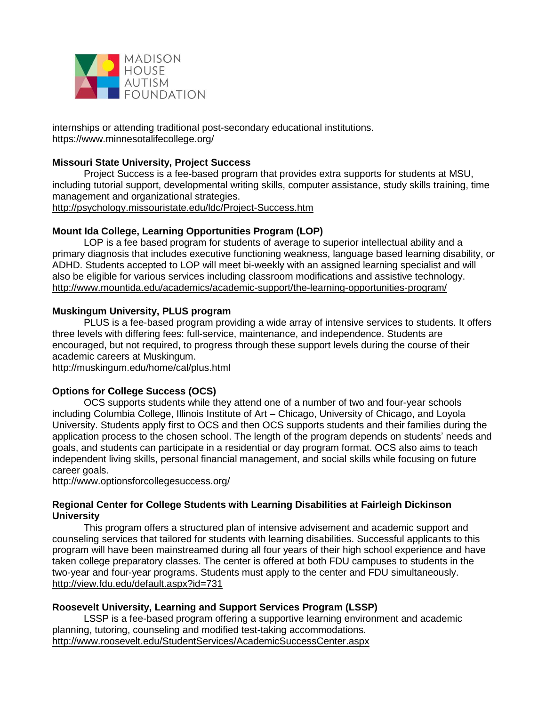

internships or attending traditional post-secondary educational institutions. https://www.minnesotalifecollege.org/

# **Missouri State University, Project Success**

Project Success is a fee-based program that provides extra supports for students at MSU, including tutorial support, developmental writing skills, computer assistance, study skills training, time management and organizational strategies. <http://psychology.missouristate.edu/ldc/Project-Success.htm>

# **Mount Ida College, Learning Opportunities Program (LOP)**

LOP is a fee based program for students of average to superior intellectual ability and a primary diagnosis that includes executive functioning weakness, language based learning disability, or ADHD. Students accepted to LOP will meet bi-weekly with an assigned learning specialist and will also be eligible for various services including classroom modifications and assistive technology. <http://www.mountida.edu/academics/academic-support/the-learning-opportunities-program/>

# **Muskingum University, PLUS program**

PLUS is a fee-based program providing a wide array of intensive services to students. It offers three levels with differing fees: full-service, maintenance, and independence. Students are encouraged, but not required, to progress through these support levels during the course of their academic careers at Muskingum.

http://muskingum.edu/home/cal/plus.html

# **Options for College Success (OCS)**

OCS supports students while they attend one of a number of two and four-year schools including Columbia College, Illinois Institute of Art – Chicago, University of Chicago, and Loyola University. Students apply first to OCS and then OCS supports students and their families during the application process to the chosen school. The length of the program depends on students' needs and goals, and students can participate in a residential or day program format. OCS also aims to teach independent living skills, personal financial management, and social skills while focusing on future career goals.

http://www.optionsforcollegesuccess.org/

# **Regional Center for College Students with Learning Disabilities at Fairleigh Dickinson University**

This program offers a structured plan of intensive advisement and academic support and counseling services that tailored for students with learning disabilities. Successful applicants to this program will have been mainstreamed during all four years of their high school experience and have taken college preparatory classes. The center is offered at both FDU campuses to students in the two-year and four-year programs. Students must apply to the center and FDU simultaneously. <http://view.fdu.edu/default.aspx?id=731>

# **Roosevelt University, Learning and Support Services Program (LSSP)**

LSSP is a fee-based program offering a supportive learning environment and academic planning, tutoring, counseling and modified test-taking accommodations. <http://www.roosevelt.edu/StudentServices/AcademicSuccessCenter.aspx>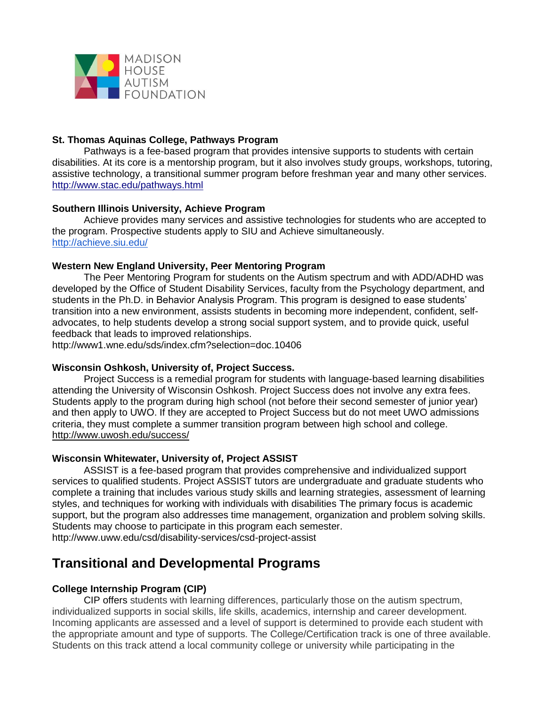

## **St. Thomas Aquinas College, Pathways Program**

Pathways is a fee-based program that provides intensive supports to students with certain disabilities. At its core is a mentorship program, but it also involves study groups, workshops, tutoring, assistive technology, a transitional summer program before freshman year and many other services. <http://www.stac.edu/pathways.html>

## **Southern Illinois University, Achieve Program**

Achieve provides many services and assistive technologies for students who are accepted to the program. Prospective students apply to SIU and Achieve simultaneously. <http://achieve.siu.edu/>

#### **Western New England University, Peer Mentoring Program**

The Peer Mentoring Program for students on the Autism spectrum and with ADD/ADHD was developed by the Office of Student Disability Services, faculty from the Psychology department, and students in the Ph.D. in Behavior Analysis Program. This program is designed to ease students' transition into a new environment, assists students in becoming more independent, confident, selfadvocates, to help students develop a strong social support system, and to provide quick, useful feedback that leads to improved relationships.

http://www1.wne.edu/sds/index.cfm?selection=doc.10406

#### **Wisconsin Oshkosh, University of, Project Success.**

Project Success is a remedial program for students with language-based learning disabilities attending the University of Wisconsin Oshkosh. Project Success does not involve any extra fees. Students apply to the program during high school (not before their second semester of junior year) and then apply to UWO. If they are accepted to Project Success but do not meet UWO admissions criteria, they must complete a summer transition program between high school and college. <http://www.uwosh.edu/success/>

#### **Wisconsin Whitewater, University of, Project ASSIST**

ASSIST is a fee-based program that provides comprehensive and individualized support services to qualified students. Project ASSIST tutors are undergraduate and graduate students who complete a training that includes various study skills and learning strategies, assessment of learning styles, and techniques for working with individuals with disabilities The primary focus is academic support, but the program also addresses time management, organization and problem solving skills. Students may choose to participate in this program each semester. http://www.uww.edu/csd/disability-services/csd-project-assist

# **Transitional and Developmental Programs**

# **College Internship Program (CIP)**

CIP offers students with learning differences, particularly those on the autism spectrum, individualized supports in social skills, life skills, academics, internship and career development. Incoming applicants are assessed and a level of support is determined to provide each student with the appropriate amount and type of supports. The College/Certification track is one of three available. Students on this track attend a local community college or university while participating in the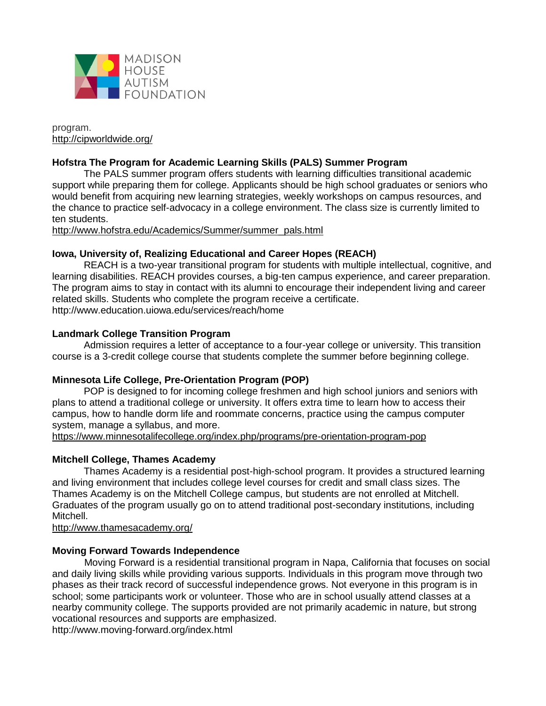

program. <http://cipworldwide.org/>

## **Hofstra The Program for Academic Learning Skills (PALS) Summer Program**

The PALS summer program offers students with learning difficulties transitional academic support while preparing them for college. Applicants should be high school graduates or seniors who would benefit from acquiring new learning strategies, weekly workshops on campus resources, and the chance to practice self-advocacy in a college environment. The class size is currently limited to ten students.

[http://www.hofstra.edu/Academics/Summer/summer\\_pals.html](http://www.hofstra.edu/Academics/Summer/summer_pals.html)

#### **Iowa, University of, Realizing Educational and Career Hopes (REACH)**

REACH is a two-year transitional program for students with multiple intellectual, cognitive, and learning disabilities. REACH provides courses, a big-ten campus experience, and career preparation. The program aims to stay in contact with its alumni to encourage their independent living and career related skills. Students who complete the program receive a certificate. http://www.education.uiowa.edu/services/reach/home

#### **Landmark College Transition Program**

Admission requires a letter of acceptance to a four-year college or university. This transition course is a 3-credit college course that students complete the summer before beginning college.

#### **Minnesota Life College, Pre-Orientation Program (POP)**

POP is designed to for incoming college freshmen and high school juniors and seniors with plans to attend a traditional college or university. It offers extra time to learn how to access their campus, how to handle dorm life and roommate concerns, practice using the campus computer system, manage a syllabus, and more.

<https://www.minnesotalifecollege.org/index.php/programs/pre-orientation-program-pop>

#### **Mitchell College, Thames Academy**

Thames Academy is a residential post-high-school program. It provides a structured learning and living environment that includes college level courses for credit and small class sizes. The Thames Academy is on the Mitchell College campus, but students are not enrolled at Mitchell. Graduates of the program usually go on to attend traditional post-secondary institutions, including Mitchell.

<http://www.thamesacademy.org/>

#### **Moving Forward Towards Independence**

Moving Forward is a residential transitional program in Napa, California that focuses on social and daily living skills while providing various supports. Individuals in this program move through two phases as their track record of successful independence grows. Not everyone in this program is in school; some participants work or volunteer. Those who are in school usually attend classes at a nearby community college. The supports provided are not primarily academic in nature, but strong vocational resources and supports are emphasized.

http://www.moving-forward.org/index.html